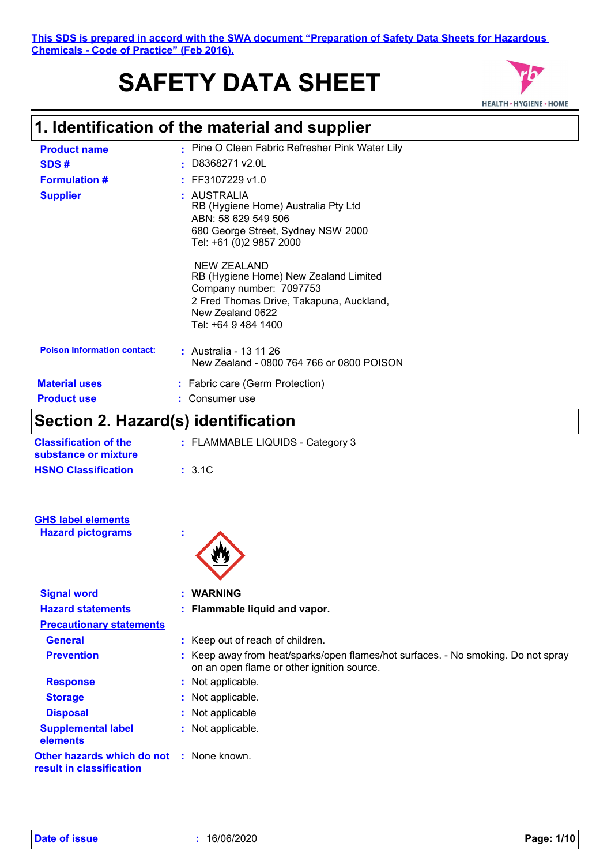#### **This SDS is prepared in accord with the SWA document "Preparation of Safety Data Sheets for Hazardous Chemicals - Code of Practice" (Feb 2016).**

# **SAFETY DATA SHEET**



## **1. Identification of the material and supplier**

| <b>Product name</b>                | : Pine O Cleen Fabric Refresher Pink Water Lily                                                                                                                        |
|------------------------------------|------------------------------------------------------------------------------------------------------------------------------------------------------------------------|
| SDS#                               | $\pm$ D8368271 v2.0L                                                                                                                                                   |
| <b>Formulation #</b>               | $:$ FF3107229 v1.0                                                                                                                                                     |
| <b>Supplier</b>                    | : AUSTRALIA<br>RB (Hygiene Home) Australia Pty Ltd<br>ABN: 58 629 549 506<br>680 George Street, Sydney NSW 2000<br>Tel: +61 (0)2 9857 2000                             |
|                                    | NEW ZEALAND<br>RB (Hygiene Home) New Zealand Limited<br>Company number: 7097753<br>2 Fred Thomas Drive, Takapuna, Auckland,<br>New Zealand 0622<br>Tel: +64 9 484 1400 |
| <b>Poison Information contact:</b> | : Australia - 13 11 26<br>New Zealand - 0800 764 766 or 0800 POISON                                                                                                    |
| <b>Material uses</b>               | : Fabric care (Germ Protection)                                                                                                                                        |
| <b>Product use</b>                 | Consumer use                                                                                                                                                           |

### **Section 2. Hazard(s) identification**

| Section 2. Hazaru(5) Identification                  |                                                                                                                                 |
|------------------------------------------------------|---------------------------------------------------------------------------------------------------------------------------------|
| <b>Classification of the</b><br>substance or mixture | : FLAMMABLE LIQUIDS - Category 3                                                                                                |
| <b>HSNO Classification</b>                           | : 3.1C                                                                                                                          |
| <b>GHS label elements</b>                            |                                                                                                                                 |
| <b>Hazard pictograms</b>                             |                                                                                                                                 |
| <b>Signal word</b>                                   | <b>WARNING</b>                                                                                                                  |
| <b>Hazard statements</b>                             | : Flammable liquid and vapor.                                                                                                   |
| <b>Precautionary statements</b>                      |                                                                                                                                 |
| <b>General</b>                                       | : Keep out of reach of children.                                                                                                |
| <b>Prevention</b>                                    | : Keep away from heat/sparks/open flames/hot surfaces. - No smoking. Do not spray<br>on an open flame or other ignition source. |
| <b>Response</b>                                      | : Not applicable.                                                                                                               |
| <b>Storage</b>                                       | : Not applicable.                                                                                                               |
| <b>Disposal</b>                                      | : Not applicable                                                                                                                |
| <b>Supplemental label</b><br>elements                | : Not applicable.                                                                                                               |

**Other hazards which do not :** None known. **result in classification**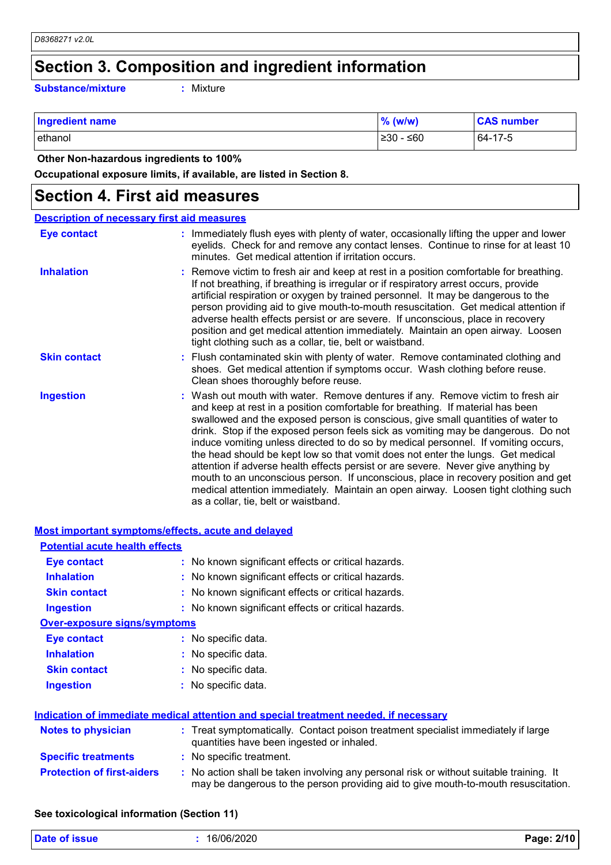# **Section 3. Composition and ingredient information**

**Substance/mixture :**

: Mixture

| <b>Ingredient name</b> | $%$ (w/w)           | <b>CAS number</b> |
|------------------------|---------------------|-------------------|
| ethanol                | $\geq 30 -$<br>∴≤60 | 64-17-5           |

 **Other Non-hazardous ingredients to 100%**

**Occupational exposure limits, if available, are listed in Section 8.**

#### **Section 4. First aid measures**

| <b>Description of necessary first aid measures</b> |                                                                                                                                                                                                                                                                                                                                                                                                                                                                                                                                                                                                                                                                                                                                                                                                                              |
|----------------------------------------------------|------------------------------------------------------------------------------------------------------------------------------------------------------------------------------------------------------------------------------------------------------------------------------------------------------------------------------------------------------------------------------------------------------------------------------------------------------------------------------------------------------------------------------------------------------------------------------------------------------------------------------------------------------------------------------------------------------------------------------------------------------------------------------------------------------------------------------|
| <b>Eye contact</b>                                 | : Immediately flush eyes with plenty of water, occasionally lifting the upper and lower<br>eyelids. Check for and remove any contact lenses. Continue to rinse for at least 10<br>minutes. Get medical attention if irritation occurs.                                                                                                                                                                                                                                                                                                                                                                                                                                                                                                                                                                                       |
| <b>Inhalation</b>                                  | : Remove victim to fresh air and keep at rest in a position comfortable for breathing.<br>If not breathing, if breathing is irregular or if respiratory arrest occurs, provide<br>artificial respiration or oxygen by trained personnel. It may be dangerous to the<br>person providing aid to give mouth-to-mouth resuscitation. Get medical attention if<br>adverse health effects persist or are severe. If unconscious, place in recovery<br>position and get medical attention immediately. Maintain an open airway. Loosen<br>tight clothing such as a collar, tie, belt or waistband.                                                                                                                                                                                                                                 |
| <b>Skin contact</b>                                | : Flush contaminated skin with plenty of water. Remove contaminated clothing and<br>shoes. Get medical attention if symptoms occur. Wash clothing before reuse.<br>Clean shoes thoroughly before reuse.                                                                                                                                                                                                                                                                                                                                                                                                                                                                                                                                                                                                                      |
| <b>Ingestion</b>                                   | : Wash out mouth with water. Remove dentures if any. Remove victim to fresh air<br>and keep at rest in a position comfortable for breathing. If material has been<br>swallowed and the exposed person is conscious, give small quantities of water to<br>drink. Stop if the exposed person feels sick as vomiting may be dangerous. Do not<br>induce vomiting unless directed to do so by medical personnel. If vomiting occurs,<br>the head should be kept low so that vomit does not enter the lungs. Get medical<br>attention if adverse health effects persist or are severe. Never give anything by<br>mouth to an unconscious person. If unconscious, place in recovery position and get<br>medical attention immediately. Maintain an open airway. Loosen tight clothing such<br>as a collar, tie, belt or waistband. |

| <b>Most important symptoms/effects, acute and delayed</b> |                                                                                                                                                                               |
|-----------------------------------------------------------|-------------------------------------------------------------------------------------------------------------------------------------------------------------------------------|
| <b>Potential acute health effects</b>                     |                                                                                                                                                                               |
| <b>Eye contact</b>                                        | : No known significant effects or critical hazards.                                                                                                                           |
| <b>Inhalation</b>                                         | : No known significant effects or critical hazards.                                                                                                                           |
| <b>Skin contact</b>                                       | : No known significant effects or critical hazards.                                                                                                                           |
| <b>Ingestion</b>                                          | : No known significant effects or critical hazards.                                                                                                                           |
| <b>Over-exposure signs/symptoms</b>                       |                                                                                                                                                                               |
| <b>Eye contact</b>                                        | : No specific data.                                                                                                                                                           |
| <b>Inhalation</b>                                         | : No specific data.                                                                                                                                                           |
| <b>Skin contact</b>                                       | : No specific data.                                                                                                                                                           |
| <b>Ingestion</b>                                          | : No specific data.                                                                                                                                                           |
|                                                           | Indication of immediate medical attention and special treatment needed, if necessary                                                                                          |
| <b>Notes to physician</b>                                 | : Treat symptomatically. Contact poison treatment specialist immediately if large<br>quantities have been ingested or inhaled.                                                |
| <b>Specific treatments</b>                                | : No specific treatment.                                                                                                                                                      |
| <b>Protection of first-aiders</b>                         | : No action shall be taken involving any personal risk or without suitable training. It<br>may be dangerous to the person providing aid to give mouth-to-mouth resuscitation. |
|                                                           |                                                                                                                                                                               |

#### **See toxicological information (Section 11)**

| <b>Date of issue</b> | 16/06/2020 | 2/10<br>Page: |
|----------------------|------------|---------------|
|                      |            |               |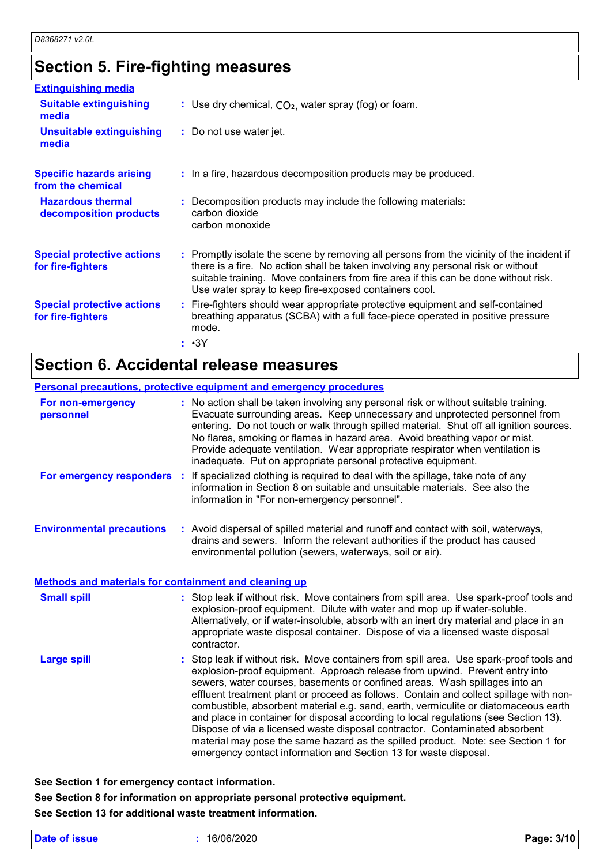### **Section 5. Fire-fighting measures**

| <b>Extinguishing media</b>                             |                                                                                                                                                                                                                                                                                                                               |
|--------------------------------------------------------|-------------------------------------------------------------------------------------------------------------------------------------------------------------------------------------------------------------------------------------------------------------------------------------------------------------------------------|
| <b>Suitable extinguishing</b><br>media                 | : Use dry chemical, $CO2$ , water spray (fog) or foam.                                                                                                                                                                                                                                                                        |
| <b>Unsuitable extinguishing</b><br>media               | : Do not use water jet.                                                                                                                                                                                                                                                                                                       |
| <b>Specific hazards arising</b><br>from the chemical   | : In a fire, hazardous decomposition products may be produced.                                                                                                                                                                                                                                                                |
| <b>Hazardous thermal</b><br>decomposition products     | : Decomposition products may include the following materials:<br>carbon dioxide<br>carbon monoxide                                                                                                                                                                                                                            |
| <b>Special protective actions</b><br>for fire-fighters | : Promptly isolate the scene by removing all persons from the vicinity of the incident if<br>there is a fire. No action shall be taken involving any personal risk or without<br>suitable training. Move containers from fire area if this can be done without risk.<br>Use water spray to keep fire-exposed containers cool. |
| <b>Special protective actions</b><br>for fire-fighters | : Fire-fighters should wear appropriate protective equipment and self-contained<br>breathing apparatus (SCBA) with a full face-piece operated in positive pressure<br>mode.                                                                                                                                                   |
|                                                        | : •3Y                                                                                                                                                                                                                                                                                                                         |

### **Section 6. Accidental release measures**

#### **Personal precautions, protective equipment and emergency procedures**

| For non-emergency<br>personnel                               | : No action shall be taken involving any personal risk or without suitable training.<br>Evacuate surrounding areas. Keep unnecessary and unprotected personnel from<br>entering. Do not touch or walk through spilled material. Shut off all ignition sources.<br>No flares, smoking or flames in hazard area. Avoid breathing vapor or mist.<br>Provide adequate ventilation. Wear appropriate respirator when ventilation is<br>inadequate. Put on appropriate personal protective equipment.                                                                                                                                                                                                                                                                       |  |
|--------------------------------------------------------------|-----------------------------------------------------------------------------------------------------------------------------------------------------------------------------------------------------------------------------------------------------------------------------------------------------------------------------------------------------------------------------------------------------------------------------------------------------------------------------------------------------------------------------------------------------------------------------------------------------------------------------------------------------------------------------------------------------------------------------------------------------------------------|--|
| For emergency responders                                     | If specialized clothing is required to deal with the spillage, take note of any<br>information in Section 8 on suitable and unsuitable materials. See also the<br>information in "For non-emergency personnel".                                                                                                                                                                                                                                                                                                                                                                                                                                                                                                                                                       |  |
| <b>Environmental precautions</b>                             | : Avoid dispersal of spilled material and runoff and contact with soil, waterways,<br>drains and sewers. Inform the relevant authorities if the product has caused<br>environmental pollution (sewers, waterways, soil or air).                                                                                                                                                                                                                                                                                                                                                                                                                                                                                                                                       |  |
| <b>Methods and materials for containment and cleaning up</b> |                                                                                                                                                                                                                                                                                                                                                                                                                                                                                                                                                                                                                                                                                                                                                                       |  |
| <b>Small spill</b>                                           | : Stop leak if without risk. Move containers from spill area. Use spark-proof tools and<br>explosion-proof equipment. Dilute with water and mop up if water-soluble.<br>Alternatively, or if water-insoluble, absorb with an inert dry material and place in an<br>appropriate waste disposal container. Dispose of via a licensed waste disposal<br>contractor.                                                                                                                                                                                                                                                                                                                                                                                                      |  |
| <b>Large spill</b>                                           | : Stop leak if without risk. Move containers from spill area. Use spark-proof tools and<br>explosion-proof equipment. Approach release from upwind. Prevent entry into<br>sewers, water courses, basements or confined areas. Wash spillages into an<br>effluent treatment plant or proceed as follows. Contain and collect spillage with non-<br>combustible, absorbent material e.g. sand, earth, vermiculite or diatomaceous earth<br>and place in container for disposal according to local regulations (see Section 13).<br>Dispose of via a licensed waste disposal contractor. Contaminated absorbent<br>material may pose the same hazard as the spilled product. Note: see Section 1 for<br>emergency contact information and Section 13 for waste disposal. |  |

**See Section 1 for emergency contact information.**

**See Section 8 for information on appropriate personal protective equipment. See Section 13 for additional waste treatment information.**

|  | Date of issue |  |
|--|---------------|--|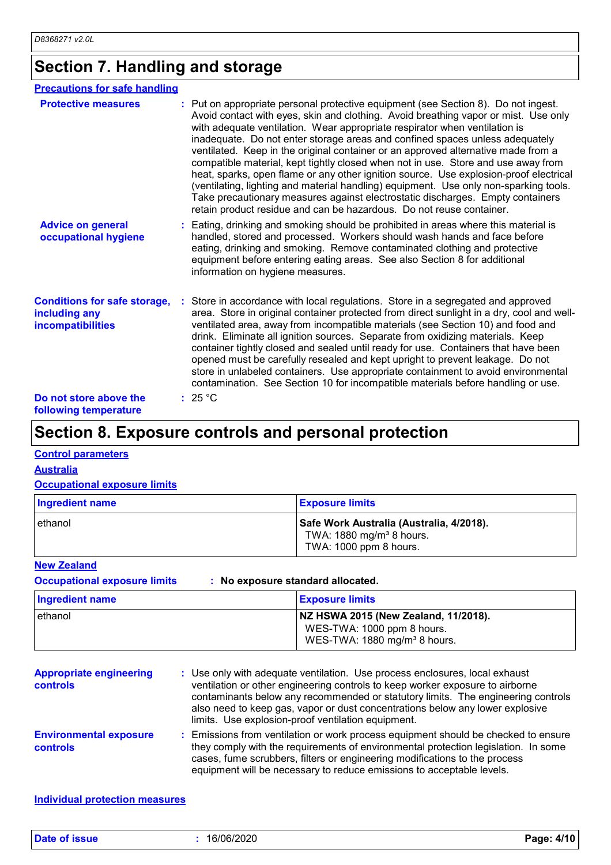### **Section 7. Handling and storage**

| <b>Precautions for safe handling</b>                                             |                                                                                                                                                                                                                                                                                                                                                                                                                                                                                                                                                                                                                                                                                                                                                                                                                                                               |
|----------------------------------------------------------------------------------|---------------------------------------------------------------------------------------------------------------------------------------------------------------------------------------------------------------------------------------------------------------------------------------------------------------------------------------------------------------------------------------------------------------------------------------------------------------------------------------------------------------------------------------------------------------------------------------------------------------------------------------------------------------------------------------------------------------------------------------------------------------------------------------------------------------------------------------------------------------|
| <b>Protective measures</b>                                                       | : Put on appropriate personal protective equipment (see Section 8). Do not ingest.<br>Avoid contact with eyes, skin and clothing. Avoid breathing vapor or mist. Use only<br>with adequate ventilation. Wear appropriate respirator when ventilation is<br>inadequate. Do not enter storage areas and confined spaces unless adequately<br>ventilated. Keep in the original container or an approved alternative made from a<br>compatible material, kept tightly closed when not in use. Store and use away from<br>heat, sparks, open flame or any other ignition source. Use explosion-proof electrical<br>(ventilating, lighting and material handling) equipment. Use only non-sparking tools.<br>Take precautionary measures against electrostatic discharges. Empty containers<br>retain product residue and can be hazardous. Do not reuse container. |
| <b>Advice on general</b><br>occupational hygiene                                 | : Eating, drinking and smoking should be prohibited in areas where this material is<br>handled, stored and processed. Workers should wash hands and face before<br>eating, drinking and smoking. Remove contaminated clothing and protective<br>equipment before entering eating areas. See also Section 8 for additional<br>information on hygiene measures.                                                                                                                                                                                                                                                                                                                                                                                                                                                                                                 |
| <b>Conditions for safe storage,</b><br>including any<br><b>incompatibilities</b> | Store in accordance with local regulations. Store in a segregated and approved<br>area. Store in original container protected from direct sunlight in a dry, cool and well-<br>ventilated area, away from incompatible materials (see Section 10) and food and<br>drink. Eliminate all ignition sources. Separate from oxidizing materials. Keep<br>container tightly closed and sealed until ready for use. Containers that have been<br>opened must be carefully resealed and kept upright to prevent leakage. Do not<br>store in unlabeled containers. Use appropriate containment to avoid environmental<br>contamination. See Section 10 for incompatible materials before handling or use.                                                                                                                                                              |
| Do not store above the<br>following temperature                                  | : 25 °C                                                                                                                                                                                                                                                                                                                                                                                                                                                                                                                                                                                                                                                                                                                                                                                                                                                       |

### **Section 8. Exposure controls and personal protection**

#### **Control parameters**

**Australia**

#### **Occupational exposure limits**

| Ingredient name | <b>Exposure limits</b>                                                                                     |
|-----------------|------------------------------------------------------------------------------------------------------------|
| ethanol         | Safe Work Australia (Australia, 4/2018).<br>TWA: 1880 mg/m <sup>3</sup> 8 hours.<br>TWA: 1000 ppm 8 hours. |

#### **New Zealand**

**Occupational exposure limits : No exposure standard allocated.**

| Ingredient name | <b>Exposure limits</b>                                                                                         |
|-----------------|----------------------------------------------------------------------------------------------------------------|
| ethanol         | NZ HSWA 2015 (New Zealand, 11/2018).<br>WES-TWA: 1000 ppm 8 hours.<br>WES-TWA: 1880 mg/m <sup>3</sup> 8 hours. |

| <b>Appropriate engineering</b><br>controls | : Use only with adequate ventilation. Use process enclosures, local exhaust<br>ventilation or other engineering controls to keep worker exposure to airborne<br>contaminants below any recommended or statutory limits. The engineering controls<br>also need to keep gas, vapor or dust concentrations below any lower explosive<br>limits. Use explosion-proof ventilation equipment. |
|--------------------------------------------|-----------------------------------------------------------------------------------------------------------------------------------------------------------------------------------------------------------------------------------------------------------------------------------------------------------------------------------------------------------------------------------------|
| <b>Environmental exposure</b><br>controls  | : Emissions from ventilation or work process equipment should be checked to ensure<br>they comply with the requirements of environmental protection legislation. In some<br>cases, fume scrubbers, filters or engineering modifications to the process<br>equipment will be necessary to reduce emissions to acceptable levels.                                                         |

#### **Individual protection measures**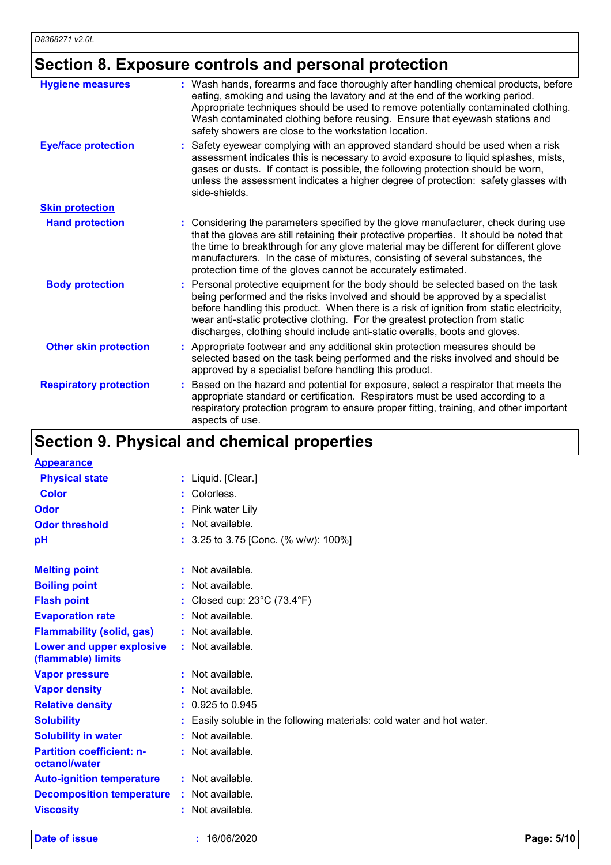# **Section 8. Exposure controls and personal protection**

| <b>Hygiene measures</b>       | : Wash hands, forearms and face thoroughly after handling chemical products, before<br>eating, smoking and using the lavatory and at the end of the working period.<br>Appropriate techniques should be used to remove potentially contaminated clothing.<br>Wash contaminated clothing before reusing. Ensure that eyewash stations and<br>safety showers are close to the workstation location.                           |
|-------------------------------|-----------------------------------------------------------------------------------------------------------------------------------------------------------------------------------------------------------------------------------------------------------------------------------------------------------------------------------------------------------------------------------------------------------------------------|
| <b>Eye/face protection</b>    | Safety eyewear complying with an approved standard should be used when a risk<br>assessment indicates this is necessary to avoid exposure to liquid splashes, mists,<br>gases or dusts. If contact is possible, the following protection should be worn,<br>unless the assessment indicates a higher degree of protection: safety glasses with<br>side-shields.                                                             |
| <b>Skin protection</b>        |                                                                                                                                                                                                                                                                                                                                                                                                                             |
| <b>Hand protection</b>        | : Considering the parameters specified by the glove manufacturer, check during use<br>that the gloves are still retaining their protective properties. It should be noted that<br>the time to breakthrough for any glove material may be different for different glove<br>manufacturers. In the case of mixtures, consisting of several substances, the<br>protection time of the gloves cannot be accurately estimated.    |
| <b>Body protection</b>        | Personal protective equipment for the body should be selected based on the task<br>being performed and the risks involved and should be approved by a specialist<br>before handling this product. When there is a risk of ignition from static electricity,<br>wear anti-static protective clothing. For the greatest protection from static<br>discharges, clothing should include anti-static overalls, boots and gloves. |
| <b>Other skin protection</b>  | Appropriate footwear and any additional skin protection measures should be<br>selected based on the task being performed and the risks involved and should be<br>approved by a specialist before handling this product.                                                                                                                                                                                                     |
| <b>Respiratory protection</b> | Based on the hazard and potential for exposure, select a respirator that meets the<br>appropriate standard or certification. Respirators must be used according to a<br>respiratory protection program to ensure proper fitting, training, and other important<br>aspects of use.                                                                                                                                           |

### **Section 9. Physical and chemical properties**

| <b>Appearance</b>                                 |                                                                      |
|---------------------------------------------------|----------------------------------------------------------------------|
| <b>Physical state</b>                             | : Liquid. [Clear.]                                                   |
| Color                                             | : Colorless.                                                         |
| Odor                                              | Pink water Lily                                                      |
| <b>Odor threshold</b>                             | $\cdot$ Not available.                                               |
| рH                                                | : 3.25 to 3.75 [Conc. (% w/w): 100%]                                 |
|                                                   |                                                                      |
| <b>Melting point</b>                              | : Not available.                                                     |
| <b>Boiling point</b>                              | : Not available.                                                     |
| <b>Flash point</b>                                | : Closed cup: $23^{\circ}$ C (73.4 $^{\circ}$ F)                     |
| <b>Evaporation rate</b>                           | : Not available.                                                     |
| <b>Flammability (solid, gas)</b>                  | : Not available.                                                     |
| Lower and upper explosive<br>(flammable) limits   | : Not available.                                                     |
| <b>Vapor pressure</b>                             | : Not available.                                                     |
| <b>Vapor density</b>                              | : Not available.                                                     |
| <b>Relative density</b>                           | : 0.925 to 0.945                                                     |
| <b>Solubility</b>                                 | Easily soluble in the following materials: cold water and hot water. |
| <b>Solubility in water</b>                        | : Not available.                                                     |
| <b>Partition coefficient: n-</b><br>octanol/water | : Not available.                                                     |
| <b>Auto-ignition temperature</b>                  | $:$ Not available.                                                   |
| <b>Decomposition temperature</b>                  | : Not available.                                                     |
| <b>Viscosity</b>                                  | : Not available.                                                     |

**Date of issue :** 16/06/2020 **Page: 5/10**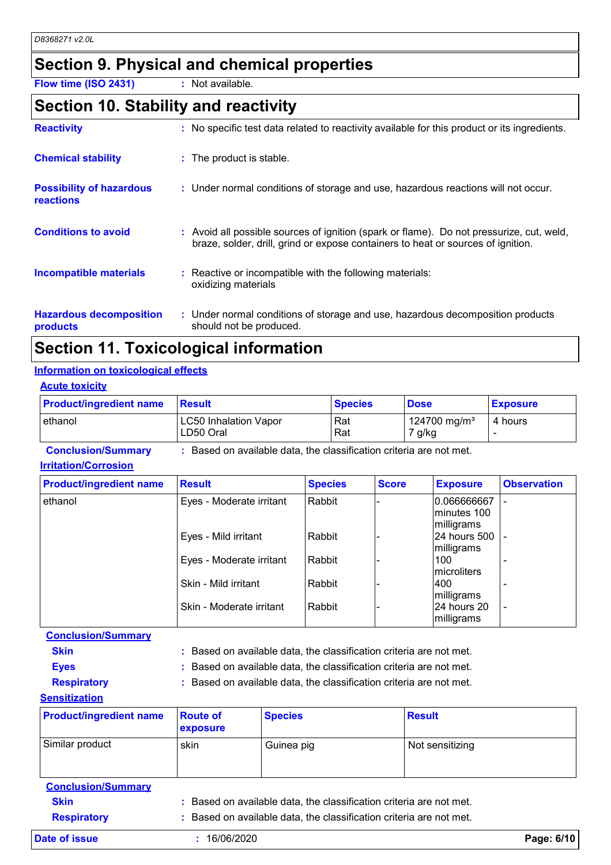### **Section 9. Physical and chemical properties**

**Flow time (ISO 2431) :** Not available.

#### **Section 10. Stability and reactivity**

| <b>Reactivity</b>                            | : No specific test data related to reactivity available for this product or its ingredients.                                                                                 |
|----------------------------------------------|------------------------------------------------------------------------------------------------------------------------------------------------------------------------------|
| <b>Chemical stability</b>                    | : The product is stable.                                                                                                                                                     |
| <b>Possibility of hazardous</b><br>reactions | : Under normal conditions of storage and use, hazardous reactions will not occur.                                                                                            |
| <b>Conditions to avoid</b>                   | : Avoid all possible sources of ignition (spark or flame). Do not pressurize, cut, weld,<br>braze, solder, drill, grind or expose containers to heat or sources of ignition. |
| <b>Incompatible materials</b>                | : Reactive or incompatible with the following materials:<br>oxidizing materials                                                                                              |
| <b>Hazardous decomposition</b><br>products   | : Under normal conditions of storage and use, hazardous decomposition products<br>should not be produced.                                                                    |

### **Section 11. Toxicological information**

#### **Information on toxicological effects**

| <b>Acute toxicity</b> |
|-----------------------|
|-----------------------|

| <b>Product/ingredient name</b> | <b>⊩Result</b>                            | <b>Species</b> | <b>Dose</b>                        | <b>Exposure</b> |
|--------------------------------|-------------------------------------------|----------------|------------------------------------|-----------------|
| lethanol                       | <b>LC50 Inhalation Vapor</b><br>LD50 Oral | Rat<br>Rat     | 124700 mg/m <sup>3</sup><br>7 g/kg | 4 hours         |

| <b>Conclusion/Summary</b>   | : Based on available data, the classification criteria are not met. |
|-----------------------------|---------------------------------------------------------------------|
| <b>Irritation/Corrosion</b> |                                                                     |

| <b>Product/ingredient name</b> | <b>Result</b>            | <b>Species</b> | <b>Score</b> | <b>Exposure</b>                           | <b>Observation</b> |
|--------------------------------|--------------------------|----------------|--------------|-------------------------------------------|--------------------|
| ethanol                        | Eyes - Moderate irritant | Rabbit         |              | 0.066666667<br>lminutes 100<br>milligrams |                    |
|                                | Eyes - Mild irritant     | Rabbit         |              | 24 hours 500  <br>milligrams              |                    |
|                                | Eyes - Moderate irritant | Rabbit         |              | 100<br>microliters                        |                    |
|                                | Skin - Mild irritant     | Rabbit         |              | 400<br>milligrams                         |                    |
|                                | Skin - Moderate irritant | Rabbit         |              | l24 hours 20<br>milligrams                |                    |

**Conclusion/Summary**

| Skin |  | : Based on available data, the classification criteria are not met. |  |
|------|--|---------------------------------------------------------------------|--|
|------|--|---------------------------------------------------------------------|--|

- **Eyes :** Based on available data, the classification criteria are not met.
- **Respiratory :** Based on available data, the classification criteria are not met.

**Sensitization**

| <b>Product/ingredient name</b> | <b>Route of</b><br><b>exposure</b> | <b>Species</b> | <b>Result</b>   |
|--------------------------------|------------------------------------|----------------|-----------------|
| Similar product                | skin                               | Guinea pig     | Not sensitizing |

**Conclusion/Summary Skin :** Based on available data, the classification criteria are not met. **Respiratory :** Based on available data, the classification criteria are not met. **Date of issue :** 16/06/2020 **Page: 6/10**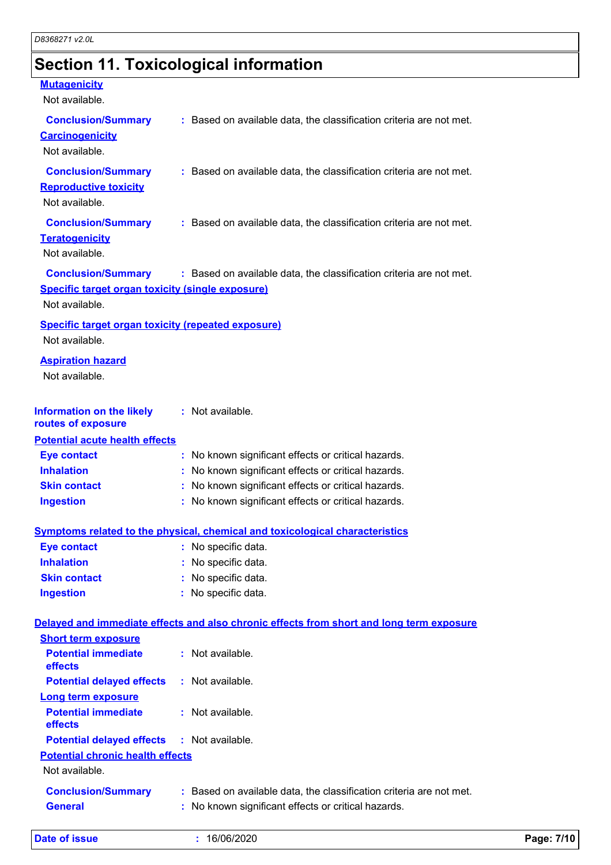# **Section 11. Toxicological information**

#### **Mutagenicity**

Not available.

| ι νυι αναιιαυισ.                                                                                |                                                                                          |
|-------------------------------------------------------------------------------------------------|------------------------------------------------------------------------------------------|
| <b>Conclusion/Summary</b><br><b>Carcinogenicity</b><br>Not available.                           | : Based on available data, the classification criteria are not met.                      |
| <b>Conclusion/Summary</b><br><b>Reproductive toxicity</b><br>Not available.                     | : Based on available data, the classification criteria are not met.                      |
| <b>Conclusion/Summary</b><br><b>Teratogenicity</b><br>Not available.                            | : Based on available data, the classification criteria are not met.                      |
| <b>Conclusion/Summary</b><br>Specific target organ toxicity (single exposure)<br>Not available. | : Based on available data, the classification criteria are not met.                      |
|                                                                                                 |                                                                                          |
| <b>Specific target organ toxicity (repeated exposure)</b><br>Not available.                     |                                                                                          |
| <b>Aspiration hazard</b><br>Not available.                                                      |                                                                                          |
| <b>Information on the likely</b><br>routes of exposure                                          | : Not available.                                                                         |
| <b>Potential acute health effects</b>                                                           |                                                                                          |
| <b>Eye contact</b>                                                                              | : No known significant effects or critical hazards.                                      |
| <b>Inhalation</b>                                                                               | : No known significant effects or critical hazards.                                      |
| <b>Skin contact</b>                                                                             | : No known significant effects or critical hazards.                                      |
| <b>Ingestion</b>                                                                                | : No known significant effects or critical hazards.                                      |
|                                                                                                 | Symptoms related to the physical, chemical and toxicological characteristics             |
| <b>Eye contact</b>                                                                              | : No specific data.                                                                      |
| <b>Inhalation</b>                                                                               | : No specific data.                                                                      |
| <b>Skin contact</b>                                                                             | No specific data.                                                                        |
| <b>Ingestion</b>                                                                                | : No specific data.                                                                      |
|                                                                                                 | Delayed and immediate effects and also chronic effects from short and long term exposure |
| <b>Short term exposure</b>                                                                      |                                                                                          |
| <b>Potential immediate</b><br>effects                                                           | : Not available.                                                                         |
| <b>Potential delayed effects</b>                                                                | : Not available.                                                                         |
| <b>Long term exposure</b>                                                                       |                                                                                          |
| <b>Potential immediate</b><br>effects                                                           | : Not available.                                                                         |
| <b>Potential delayed effects</b>                                                                | : Not available.                                                                         |
| <b>Potential chronic health effects</b><br>Not available.                                       |                                                                                          |
| <b>Conclusion/Summary</b>                                                                       | : Based on available data, the classification criteria are not met.                      |
| <b>General</b>                                                                                  | : No known significant effects or critical hazards.                                      |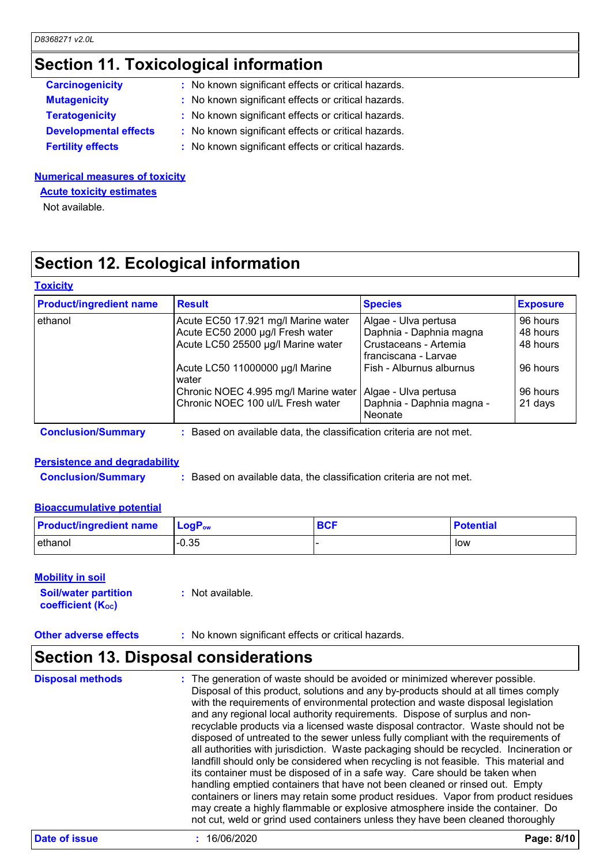#### **Section 11. Toxicological information**

| <b>Carcinogenicity</b>       | : No known significant effects or critical hazards. |  |
|------------------------------|-----------------------------------------------------|--|
| <b>Mutagenicity</b>          | : No known significant effects or critical hazards. |  |
| <b>Teratogenicity</b>        | : No known significant effects or critical hazards. |  |
| <b>Developmental effects</b> | : No known significant effects or critical hazards. |  |
| <b>Fertility effects</b>     | : No known significant effects or critical hazards. |  |
|                              |                                                     |  |

#### **Numerical measures of toxicity**

**Acute toxicity estimates**

Not available.

### **Section 12. Ecological information**

#### **Toxicity**

| <b>Product/ingredient name</b> | <b>Result</b>                                                     | <b>Species</b>                                | <b>Exposure</b> |  |
|--------------------------------|-------------------------------------------------------------------|-----------------------------------------------|-----------------|--|
| ethanol                        | Acute EC50 17.921 mg/l Marine water                               | Algae - Ulva pertusa                          | 96 hours        |  |
|                                | Acute EC50 2000 µg/l Fresh water                                  | Daphnia - Daphnia magna                       | 48 hours        |  |
|                                | Acute LC50 25500 µg/l Marine water                                | Crustaceans - Artemia<br>franciscana - Larvae | 48 hours        |  |
|                                | Acute LC50 11000000 µg/l Marine<br>water                          | Fish - Alburnus alburnus                      | 96 hours        |  |
|                                | Chronic NOEC 4.995 mg/l Marine water                              | Algae - Ulva pertusa                          | 96 hours        |  |
|                                | Chronic NOEC 100 ul/L Fresh water                                 | Daphnia - Daphnia magna -<br><b>Neonate</b>   | 21 days         |  |
| <b>Conclusion/Summary</b>      | Based on available data, the classification criteria are not met. |                                               |                 |  |

### **Persistence and degradability**

**Conclusion/Summary :** Based on available data, the classification criteria are not met.

#### **Bioaccumulative potential**

| <b>Product/ingredient name</b> | $\mathsf{LogP}_\mathsf{ow}$ | <b>BCF</b> | <b>Potential</b> |
|--------------------------------|-----------------------------|------------|------------------|
| l ethanol                      | $-0.35$                     |            | low              |

#### **Mobility in soil**

| <b>Soil/water partition</b> | $:$ Not available. |
|-----------------------------|--------------------|
| <b>coefficient (Koc)</b>    |                    |

**Other adverse effects** : No known significant effects or critical hazards.

#### **Section 13. Disposal considerations**

The generation of waste should be avoided or minimized wherever possible. Disposal of this product, solutions and any by-products should at all times comply with the requirements of environmental protection and waste disposal legislation and any regional local authority requirements. Dispose of surplus and nonrecyclable products via a licensed waste disposal contractor. Waste should not be disposed of untreated to the sewer unless fully compliant with the requirements of all authorities with jurisdiction. Waste packaging should be recycled. Incineration or landfill should only be considered when recycling is not feasible. This material and its container must be disposed of in a safe way. Care should be taken when handling emptied containers that have not been cleaned or rinsed out. Empty containers or liners may retain some product residues. Vapor from product residues may create a highly flammable or explosive atmosphere inside the container. Do not cut, weld or grind used containers unless they have been cleaned thoroughly **Disposal methods :**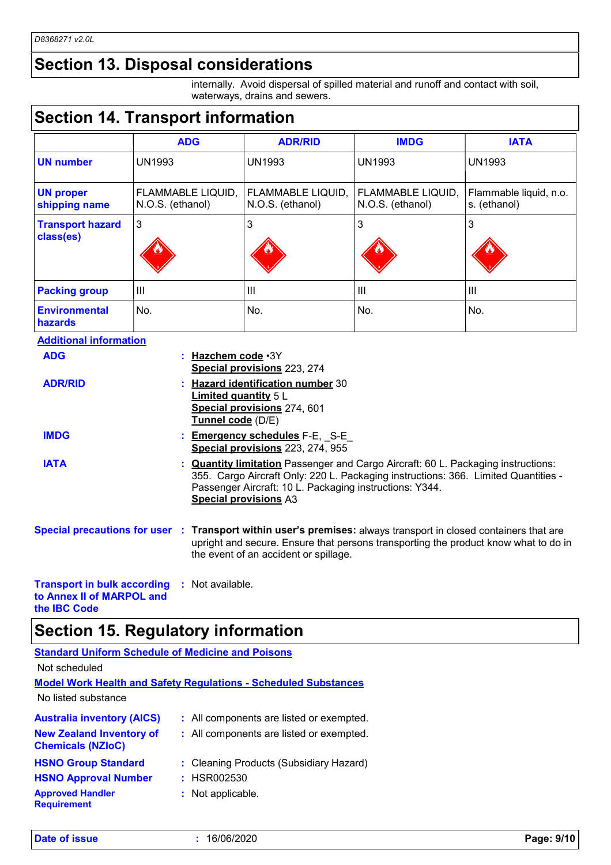### **Section 13. Disposal considerations**

internally. Avoid dispersal of spilled material and runoff and contact with soil, waterways, drains and sewers.

### **Section 14. Transport information**

|                                      | <b>ADG</b>                            | <b>ADR/RID</b>                        | <b>IMDG</b>                           | <b>IATA</b>                            |
|--------------------------------------|---------------------------------------|---------------------------------------|---------------------------------------|----------------------------------------|
| <b>UN number</b>                     | <b>UN1993</b>                         | <b>UN1993</b>                         | <b>UN1993</b>                         | <b>UN1993</b>                          |
| <b>UN proper</b><br>shipping name    | FLAMMABLE LIQUID,<br>N.O.S. (ethanol) | FLAMMABLE LIQUID,<br>N.O.S. (ethanol) | FLAMMABLE LIQUID,<br>N.O.S. (ethanol) | Flammable liquid, n.o.<br>s. (ethanol) |
| <b>Transport hazard</b><br>class(es) | 3                                     | 3                                     | 3                                     | 3                                      |
| <b>Packing group</b>                 | Ш                                     | III                                   | Ш                                     | III                                    |
| <b>Environmental</b><br>hazards      | No.                                   | No.                                   | No.                                   | No.                                    |

| <b>Additional information</b>                                   |                                                                                                                                                                                                                                                                           |
|-----------------------------------------------------------------|---------------------------------------------------------------------------------------------------------------------------------------------------------------------------------------------------------------------------------------------------------------------------|
| <b>ADG</b>                                                      | : Hazchem code · 3Y<br>Special provisions 223, 274                                                                                                                                                                                                                        |
| <b>ADR/RID</b>                                                  | <b>Hazard identification number 30</b><br><b>Limited quantity 5 L</b><br>Special provisions 274, 601<br>Tunnel code (D/E)                                                                                                                                                 |
| <b>IMDG</b>                                                     | : <b>Emergency schedules</b> F-E, S-E<br>Special provisions 223, 274, 955                                                                                                                                                                                                 |
| <b>IATA</b>                                                     | : <b>Quantity limitation</b> Passenger and Cargo Aircraft: 60 L. Packaging instructions:<br>355. Cargo Aircraft Only: 220 L. Packaging instructions: 366. Limited Quantities -<br>Passenger Aircraft: 10 L. Packaging instructions: Y344.<br><b>Special provisions A3</b> |
|                                                                 | Special precautions for user : Transport within user's premises: always transport in closed containers that are<br>upright and secure. Ensure that persons transporting the product know what to do in<br>the event of an accident or spillage.                           |
| <b>Transport in bulk according</b><br>to Annex II of MARPOL and | : Not available.                                                                                                                                                                                                                                                          |

### **Section 15. Regulatory information**

| <b>Standard Uniform Schedule of Medicine and Poisons</b>    |                                                                        |
|-------------------------------------------------------------|------------------------------------------------------------------------|
| Not scheduled                                               |                                                                        |
|                                                             | <b>Model Work Health and Safety Regulations - Scheduled Substances</b> |
| No listed substance                                         |                                                                        |
| <b>Australia inventory (AICS)</b>                           | : All components are listed or exempted.                               |
| <b>New Zealand Inventory of</b><br><b>Chemicals (NZIoC)</b> | : All components are listed or exempted.                               |
| <b>HSNO Group Standard</b>                                  | : Cleaning Products (Subsidiary Hazard)                                |
| <b>HSNO Approval Number</b>                                 | : HSR002530                                                            |
| <b>Approved Handler</b><br><b>Requirement</b>               | : Not applicable.                                                      |

**the IBC Code**